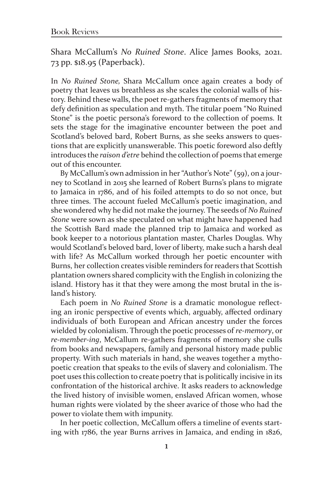Shara McCallum's *No Ruined Stone*. Alice James Books, 2021. 73 pp. \$18.95 (Paperback).

In *No Ruined Stone,* Shara McCallum once again creates a body of poetry that leaves us breathless as she scales the colonial walls of history. Behind these walls, the poet re-gathers fragments of memory that defy definition as speculation and myth. The titular poem "No Ruined Stone" is the poetic persona's foreword to the collection of poems. It sets the stage for the imaginative encounter between the poet and Scotland's beloved bard, Robert Burns, as she seeks answers to questions that are explicitly unanswerable. This poetic foreword also deftly introduces the *raison d'etre* behind the collection of poems that emerge out of this encounter.

By McCallum's own admission in her "Author's Note" (59), on a journey to Scotland in 2015 she learned of Robert Burns's plans to migrate to Jamaica in 1786, and of his foiled attempts to do so not once, but three times. The account fueled McCallum's poetic imagination, and she wondered why he did not make the journey. The seeds of *No Ruined Stone* were sown as she speculated on what might have happened had the Scottish Bard made the planned trip to Jamaica and worked as book keeper to a notorious plantation master, Charles Douglas. Why would Scotland's beloved bard, lover of liberty, make such a harsh deal with life? As McCallum worked through her poetic encounter with Burns, her collection creates visible reminders for readers that Scottish plantation owners shared complicity with the English in colonizing the island. History has it that they were among the most brutal in the island's history.

Each poem in *No Ruined Stone* is a dramatic monologue reflecting an ironic perspective of events which, arguably, affected ordinary individuals of both European and African ancestry under the forces wielded by colonialism. Through the poetic processes of *re-memory*, or *re-member-ing*, McCallum re-gathers fragments of memory she culls from books and newspapers, family and personal history made public property. With such materials in hand, she weaves together a mythopoetic creation that speaks to the evils of slavery and colonialism. The poet uses this collection to create poetry that is politically incisive in its confrontation of the historical archive. It asks readers to acknowledge the lived history of invisible women, enslaved African women, whose human rights were violated by the sheer avarice of those who had the power to violate them with impunity.

In her poetic collection, McCallum offers a timeline of events starting with 1786, the year Burns arrives in Jamaica, and ending in 1826,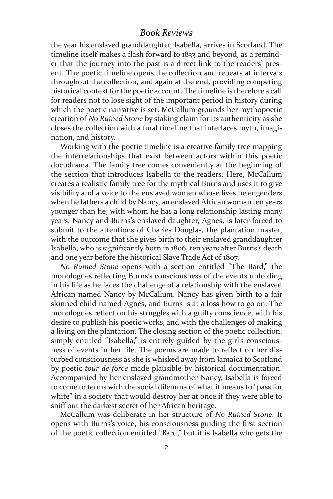## *Book Reviews*

the year his enslaved granddaughter, Isabella, arrives in Scotland. The timeline itself makes a flash forward to 1833 and beyond, as a reminder that the journey into the past is a direct link to the readers' present. The poetic timeline opens the collection and repeats at intervals throughout the collection, and again at the end, providing competing historical context for the poetic account. The timeline is therefore a call for readers not to lose sight of the important period in history during which the poetic narrative is set. McCallum grounds her mythopoetic creation of *No Ruined Stone* by staking claim for its authenticity as she closes the collection with a final timeline that interlaces myth, imagination, and history.

Working with the poetic timeline is a creative family tree mapping the interrelationships that exist between actors within this poetic docudrama. The family tree comes conveniently at the beginning of the section that introduces Isabella to the readers. Here, McCallum creates a realistic family tree for the mythical Burns and uses it to give visibility and a voice to the enslaved women whose lives he engenders when he fathers a child by Nancy, an enslaved African woman ten years younger than he, with whom he has a long relationship lasting many years. Nancy and Burns's enslaved daughter, Agnes, is later forced to submit to the attentions of Charles Douglas, the plantation master, with the outcome that she gives birth to their enslaved granddaughter Isabella, who is significantly born in 1806, ten years after Burns's death and one year before the historical Slave Trade Act of 1807.

*No Ruined Stone* opens with a section entitled "The Bard," the monologues reflecting Burns's consciousness of the events unfolding in his life as he faces the challenge of a relationship with the enslaved African named Nancy by McCallum. Nancy has given birth to a fair skinned child named Agnes, and Burns is at a loss how to go on. The monologues reflect on his struggles with a guilty conscience, with his desire to publish his poetic works, and with the challenges of making a living on the plantation. The closing section of the poetic collection, simply entitled "Isabella," is entirely guided by the girl's consciousness of events in her life. The poems are made to reflect on her disturbed consciousness as she is whisked away from Jamaica to Scotland by poetic *tour de force* made plausible by historical documentation. Accompanied by her enslaved grandmother Nancy, Isabella is forced to come to terms with the social dilemma of what it means to "pass for white" in a society that would destroy her at once if they were able to sniff out the darkest secret of her African heritage.

McCallum was deliberate in her structure of *No Ruined Stone*. It opens with Burns's voice, his consciousness guiding the first section of the poetic collection entitled "Bard," but it is Isabella who gets the